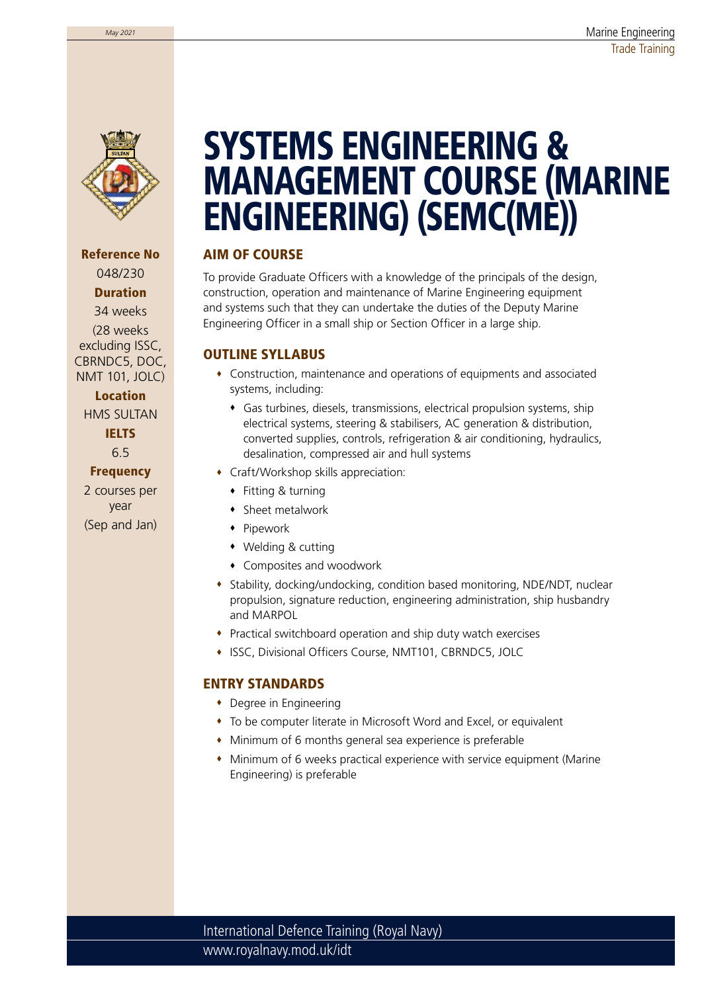

Reference No 048/230 Duration 34 weeks (28 weeks excluding ISSC, CBRNDC5, DOC, NMT 101, JOLC)

Location

HMS SULTAN IELTS 6.5

**Frequency** 2 courses per year (Sep and Jan)

# SYSTEMS ENGINEERING & MANAGEMENT COURSE (MARINE ENGINEERING) (SEMC(ME))

### AIM OF COURSE

To provide Graduate Officers with a knowledge of the principals of the design, construction, operation and maintenance of Marine Engineering equipment and systems such that they can undertake the duties of the Deputy Marine Engineering Officer in a small ship or Section Officer in a large ship.

#### OUTLINE SYLLABUS

- Construction, maintenance and operations of equipments and associated systems, including:
	- Gas turbines, diesels, transmissions, electrical propulsion systems, ship electrical systems, steering & stabilisers, AC generation & distribution, converted supplies, controls, refrigeration & air conditioning, hydraulics, desalination, compressed air and hull systems
- Craft/Workshop skills appreciation:
	- ◆ Fitting & turning
	- Sheet metalwork
	- Pipework
	- Welding & cutting
	- Composites and woodwork
- Stability, docking/undocking, condition based monitoring, NDE/NDT, nuclear propulsion, signature reduction, engineering administration, ship husbandry and MARPOL
- Practical switchboard operation and ship duty watch exercises
- **ISSC, Divisional Officers Course, NMT101, CBRNDC5, JOLC**

#### ENTRY STANDARDS

- Degree in Engineering
- To be computer literate in Microsoft Word and Excel, or equivalent
- Minimum of 6 months general sea experience is preferable
- Minimum of 6 weeks practical experience with service equipment (Marine Engineering) is preferable